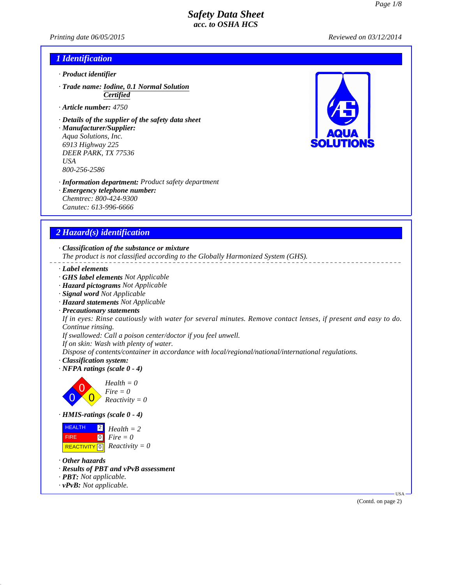*Printing date 06/05/2015 Reviewed on 03/12/2014*

### *1 Identification*

- *· Product identifier*
- *· Trade name: Iodine, 0.1 Normal Solution Certified*
- *· Article number: 4750*
- *· Details of the supplier of the safety data sheet*
- *· Manufacturer/Supplier: Aqua Solutions, Inc. 6913 Highway 225 DEER PARK, TX 77536 USA 800-256-2586*
- *· Information department: Product safety department*
- *· Emergency telephone number:*
- *Chemtrec: 800-424-9300 Canutec: 613-996-6666*

### *2 Hazard(s) identification*

*· Classification of the substance or mixture*

*The product is not classified according to the Globally Harmonized System (GHS).*

- *· Label elements*
- *· GHS label elements Not Applicable*
- *· Hazard pictograms Not Applicable*
- *· Signal word Not Applicable*
- *· Hazard statements Not Applicable*
- *· Precautionary statements*

*If in eyes: Rinse cautiously with water for several minutes. Remove contact lenses, if present and easy to do. Continue rinsing.*

*If swallowed: Call a poison center/doctor if you feel unwell.*

*If on skin: Wash with plenty of water.*

*Dispose of contents/container in accordance with local/regional/national/international regulations.*

- *· Classification system:*
- *· NFPA ratings (scale 0 4)*



*· HMIS-ratings (scale 0 - 4)*



- *· Other hazards*
- *· Results of PBT and vPvB assessment*
- *· PBT: Not applicable.*
- *· vPvB: Not applicable.*



(Contd. on page 2)

USA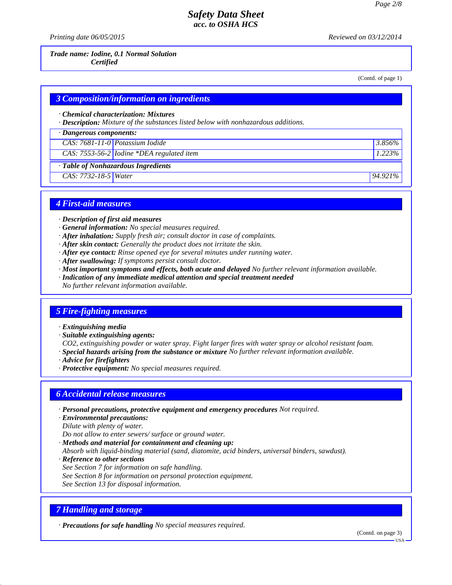*Printing date 06/05/2015 Reviewed on 03/12/2014*

#### *Trade name: Iodine, 0.1 Normal Solution Certified*

(Contd. of page 1)

### *3 Composition/information on ingredients*

*· Chemical characterization: Mixtures*

*· Description: Mixture of the substances listed below with nonhazardous additions.*

| $\cdot$ Dangerous components:       |                                                               |             |  |  |
|-------------------------------------|---------------------------------------------------------------|-------------|--|--|
| CAS: 7681-11-0 Potassium Iodide     |                                                               | 3.856%      |  |  |
|                                     | $\overline{CAS: 7553-56-2}$ <i>Iodine *DEA regulated item</i> | 1.223%      |  |  |
| · Table of Nonhazardous Ingredients |                                                               |             |  |  |
| CAS: 7732-18-5 Water                |                                                               | $194.921\%$ |  |  |

### *4 First-aid measures*

- *· Description of first aid measures*
- *· General information: No special measures required.*
- *· After inhalation: Supply fresh air; consult doctor in case of complaints.*
- *· After skin contact: Generally the product does not irritate the skin.*
- *· After eye contact: Rinse opened eye for several minutes under running water.*
- *· After swallowing: If symptoms persist consult doctor.*
- *· Most important symptoms and effects, both acute and delayed No further relevant information available.*
- *· Indication of any immediate medical attention and special treatment needed*
- *No further relevant information available.*

### *5 Fire-fighting measures*

- *· Extinguishing media*
- *· Suitable extinguishing agents:*

*CO2, extinguishing powder or water spray. Fight larger fires with water spray or alcohol resistant foam. · Special hazards arising from the substance or mixture No further relevant information available.*

- *· Advice for firefighters*
- *· Protective equipment: No special measures required.*

#### *6 Accidental release measures*

- *· Personal precautions, protective equipment and emergency procedures Not required.*
- *· Environmental precautions:*
- *Dilute with plenty of water.*

*Do not allow to enter sewers/ surface or ground water.*

- *· Methods and material for containment and cleaning up:*
- *Absorb with liquid-binding material (sand, diatomite, acid binders, universal binders, sawdust).*
- *· Reference to other sections*
- *See Section 7 for information on safe handling.*
- *See Section 8 for information on personal protection equipment.*
- *See Section 13 for disposal information.*

### *7 Handling and storage*

*· Precautions for safe handling No special measures required.*

(Contd. on page 3)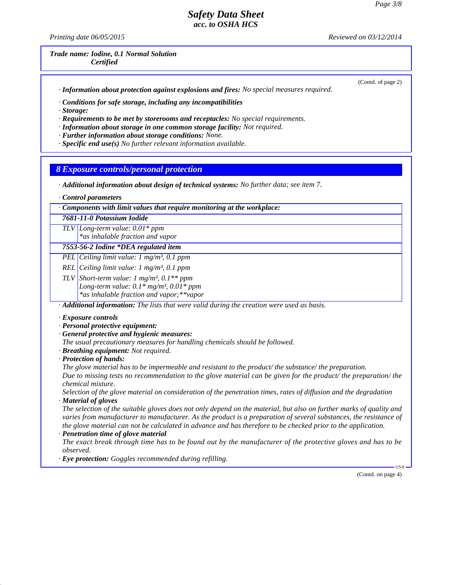*Printing date 06/05/2015 Reviewed on 03/12/2014*

*Trade name: Iodine, 0.1 Normal Solution Certified*

(Contd. of page 2)

*· Information about protection against explosions and fires: No special measures required.*

*· Conditions for safe storage, including any incompatibilities*

*· Storage:*

*· Requirements to be met by storerooms and receptacles: No special requirements.*

*· Information about storage in one common storage facility: Not required.*

*· Further information about storage conditions: None.*

*· Specific end use(s) No further relevant information available.*

*8 Exposure controls/personal protection*

*· Additional information about design of technical systems: No further data; see item 7.*

*· Control parameters*

*· Components with limit values that require monitoring at the workplace:*

*7681-11-0 Potassium Iodide*

*TLV Long-term value: 0.01\* ppm \*as inhalable fraction and vapor*

*7553-56-2 Iodine \*DEA regulated item*

*PEL Ceiling limit value: 1 mg/m³, 0.1 ppm*

*REL Ceiling limit value: 1 mg/m³, 0.1 ppm*

*TLV Short-term value: 1 mg/m³, 0.1\*\* ppm*

*Long-term value: 0.1\* mg/m³, 0.01\* ppm*

*\*as inhalable fraction and vapor;\*\*vapor*

*· Additional information: The lists that were valid during the creation were used as basis.*

*· Exposure controls*

*· Personal protective equipment:*

*· General protective and hygienic measures:*

*The usual precautionary measures for handling chemicals should be followed.*

*· Breathing equipment: Not required.*

*· Protection of hands:*

*The glove material has to be impermeable and resistant to the product/ the substance/ the preparation.*

*Due to missing tests no recommendation to the glove material can be given for the product/ the preparation/ the chemical mixture.*

*Selection of the glove material on consideration of the penetration times, rates of diffusion and the degradation · Material of gloves*

*The selection of the suitable gloves does not only depend on the material, but also on further marks of quality and varies from manufacturer to manufacturer. As the product is a preparation of several substances, the resistance of the glove material can not be calculated in advance and has therefore to be checked prior to the application.*

*· Penetration time of glove material*

*The exact break through time has to be found out by the manufacturer of the protective gloves and has to be observed.*

*· Eye protection: Goggles recommended during refilling.*

(Contd. on page 4)

USA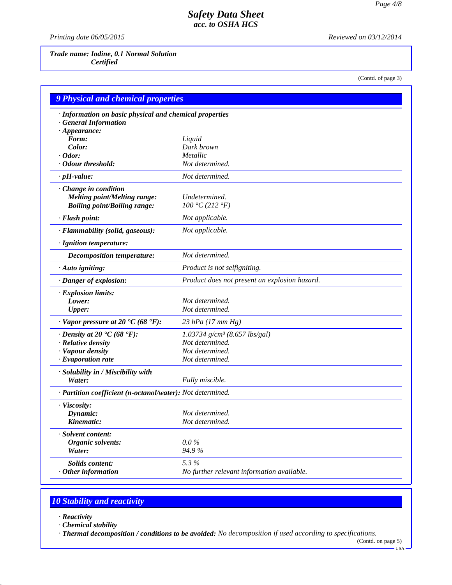*Printing date 06/05/2015 Reviewed on 03/12/2014*

*Trade name: Iodine, 0.1 Normal Solution Certified*

(Contd. of page 3)

| <b>9 Physical and chemical properties</b>                  |                                               |  |
|------------------------------------------------------------|-----------------------------------------------|--|
| · Information on basic physical and chemical properties    |                                               |  |
| <b>General Information</b>                                 |                                               |  |
| $\cdot$ Appearance:                                        |                                               |  |
| Form:                                                      | Liquid                                        |  |
| Color:                                                     | Dark brown                                    |  |
| $\cdot$ Odor:                                              | Metallic                                      |  |
| · Odour threshold:                                         | Not determined.                               |  |
| $\cdot$ pH-value:                                          | Not determined.                               |  |
| · Change in condition                                      |                                               |  |
| <b>Melting point/Melting range:</b>                        | Undetermined.                                 |  |
| <b>Boiling point/Boiling range:</b>                        | 100 °C (212 °F)                               |  |
| · Flash point:                                             | Not applicable.                               |  |
| · Flammability (solid, gaseous):                           | Not applicable.                               |  |
| · Ignition temperature:                                    |                                               |  |
| <b>Decomposition temperature:</b>                          | Not determined.                               |  |
| $\cdot$ Auto igniting:                                     | Product is not selfigniting.                  |  |
| · Danger of explosion:                                     | Product does not present an explosion hazard. |  |
| · Explosion limits:                                        |                                               |  |
| Lower:                                                     | Not determined.                               |  |
| <b>Upper:</b>                                              | Not determined.                               |  |
| $\cdot$ Vapor pressure at 20 $\cdot$ C (68 $\cdot$ F):     | 23 hPa $(17 \, \text{mm Hg})$                 |  |
| $\cdot$ Density at 20 $\cdot$ C (68 $\cdot$ F):            | $1.03734$ g/cm <sup>3</sup> (8.657 lbs/gal)   |  |
| · Relative density                                         | Not determined.                               |  |
| · Vapour density                                           | Not determined.                               |  |
| $\cdot$ Evaporation rate                                   | Not determined.                               |  |
| · Solubility in / Miscibility with                         |                                               |  |
| Water:                                                     | Fully miscible.                               |  |
| · Partition coefficient (n-octanol/water): Not determined. |                                               |  |
| · Viscosity:                                               |                                               |  |
| Dynamic:                                                   | Not determined.                               |  |
| Kinematic:                                                 | Not determined.                               |  |
| · Solvent content:                                         |                                               |  |
| Organic solvents:                                          | $0.0\%$                                       |  |
| Water:                                                     | 94.9%                                         |  |
| Solids content:                                            | 5.3%                                          |  |
| $\cdot$ Other information                                  | No further relevant information available.    |  |

# *10 Stability and reactivity*

*· Reactivity*

*· Chemical stability*

*· Thermal decomposition / conditions to be avoided: No decomposition if used according to specifications.*

(Contd. on page 5) USA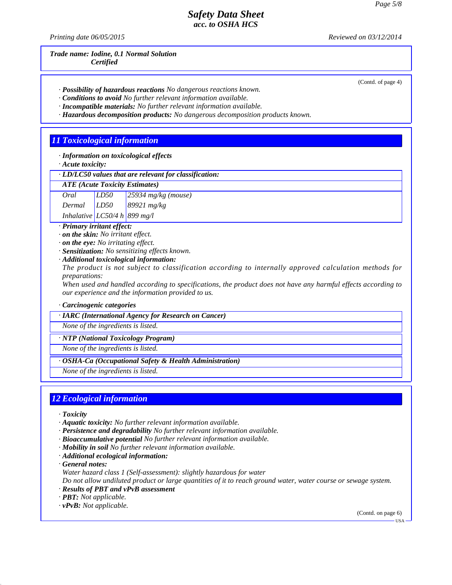*Printing date 06/05/2015 Reviewed on 03/12/2014*

*Trade name: Iodine, 0.1 Normal Solution Certified*

(Contd. of page 4)

- *· Possibility of hazardous reactions No dangerous reactions known.*
- *· Conditions to avoid No further relevant information available.*
- *· Incompatible materials: No further relevant information available.*
- *· Hazardous decomposition products: No dangerous decomposition products known.*

### *11 Toxicological information*

*· Information on toxicological effects*

*· Acute toxicity:*

#### *· LD/LC50 values that are relevant for classification:*

| Oral                           | LD50 | $\sqrt{25934 \text{ mg/kg} (\text{mouse})}$ |
|--------------------------------|------|---------------------------------------------|
| Dermal                         | LD50 | 89921 $mg/kg$                               |
| Inhalative $LC50/4 h$ 899 mg/l |      |                                             |

*· Primary irritant effect:*

- *· on the skin: No irritant effect.*
- *· on the eye: No irritating effect.*
- *· Sensitization: No sensitizing effects known.*

#### *· Additional toxicological information:*

*The product is not subject to classification according to internally approved calculation methods for preparations:*

*When used and handled according to specifications, the product does not have any harmful effects according to our experience and the information provided to us.*

#### *· Carcinogenic categories*

#### *· IARC (International Agency for Research on Cancer)*

*None of the ingredients is listed.*

*· NTP (National Toxicology Program)*

*None of the ingredients is listed.*

#### *· OSHA-Ca (Occupational Safety & Health Administration)*

*None of the ingredients is listed.*

#### *12 Ecological information*

- *· Toxicity*
- *· Aquatic toxicity: No further relevant information available.*
- *· Persistence and degradability No further relevant information available.*
- *· Bioaccumulative potential No further relevant information available.*
- *· Mobility in soil No further relevant information available.*
- *· Additional ecological information:*
- *· General notes:*
- *Water hazard class 1 (Self-assessment): slightly hazardous for water*

*Do not allow undiluted product or large quantities of it to reach ground water, water course or sewage system. · Results of PBT and vPvB assessment*

- *· PBT: Not applicable.*
- *· vPvB: Not applicable.*

(Contd. on page 6)

USA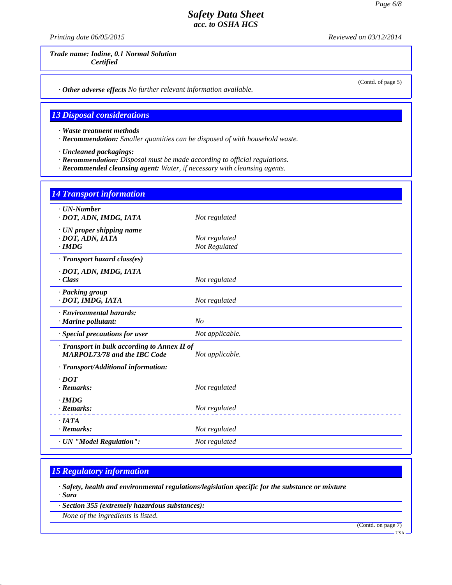*Printing date 06/05/2015 Reviewed on 03/12/2014*

(Contd. of page 5)

*Trade name: Iodine, 0.1 Normal Solution Certified*

*· Other adverse effects No further relevant information available.*

# *13 Disposal considerations*

*· Waste treatment methods*

*· Recommendation: Smaller quantities can be disposed of with household waste.*

*· Uncleaned packagings:*

*· Recommendation: Disposal must be made according to official regulations.*

*· Recommended cleansing agent: Water, if necessary with cleansing agents.*

| 14 Transport information                                                                             |                                |  |
|------------------------------------------------------------------------------------------------------|--------------------------------|--|
| · UN-Number<br>· DOT, ADN, IMDG, IATA                                                                | Not regulated                  |  |
| · UN proper shipping name<br>· DOT, ADN, IATA<br>$\cdot$ IMDG                                        | Not regulated<br>Not Regulated |  |
| · Transport hazard class(es)<br>· DOT, ADN, IMDG, IATA                                               |                                |  |
| · Class                                                                                              | Not regulated                  |  |
| · Packing group<br>· DOT, IMDG, IATA                                                                 | Not regulated                  |  |
| · Environmental hazards:<br>$\cdot$ Marine pollutant:                                                | No                             |  |
| · Special precautions for user                                                                       | Not applicable.                |  |
| Transport in bulk according to Annex II of<br><b>MARPOL73/78 and the IBC Code</b><br>Not applicable. |                                |  |
| · Transport/Additional information:                                                                  |                                |  |
| $\cdot$ <i>DOT</i><br>$\cdot$ Remarks:                                                               | Not regulated                  |  |
| $\cdot$ IMDG<br>$\cdot$ Remarks:                                                                     | Not regulated                  |  |
| $\cdot$ <i>IATA</i><br>$\cdot$ Remarks:                                                              | Not regulated                  |  |
| · UN "Model Regulation":                                                                             | Not regulated                  |  |

# *15 Regulatory information*

*· Safety, health and environmental regulations/legislation specific for the substance or mixture · Sara*

*· Section 355 (extremely hazardous substances):*

*None of the ingredients is listed.*

(Contd. on page 7)

USA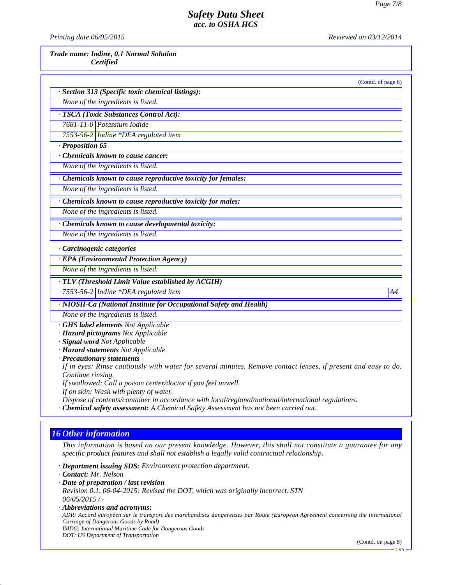*Printing date 06/05/2015 Reviewed on 03/12/2014*

*Trade name: Iodine, 0.1 Normal Solution Certified*

(Contd. of page 6) *· Section 313 (Specific toxic chemical listings): None of the ingredients is listed. · TSCA (Toxic Substances Control Act): 7681-11-0 Potassium Iodide 7553-56-2 Iodine \*DEA regulated item · Proposition 65 · Chemicals known to cause cancer: None of the ingredients is listed. · Chemicals known to cause reproductive toxicity for females: None of the ingredients is listed. · Chemicals known to cause reproductive toxicity for males: None of the ingredients is listed. · Chemicals known to cause developmental toxicity: None of the ingredients is listed.*

*· Carcinogenic categories*

*· EPA (Environmental Protection Agency)*

*None of the ingredients is listed.*

*· TLV (Threshold Limit Value established by ACGIH)*

*7553-56-2 Iodine \*DEA regulated item A4*

*· NIOSH-Ca (National Institute for Occupational Safety and Health)*

*None of the ingredients is listed.*

*· GHS label elements Not Applicable*

*· Hazard pictograms Not Applicable*

*· Signal word Not Applicable*

*· Hazard statements Not Applicable*

*· Precautionary statements*

*If in eyes: Rinse cautiously with water for several minutes. Remove contact lenses, if present and easy to do. Continue rinsing.*

*If swallowed: Call a poison center/doctor if you feel unwell.*

*If on skin: Wash with plenty of water.*

*Dispose of contents/container in accordance with local/regional/national/international regulations.*

*· Chemical safety assessment: A Chemical Safety Assessment has not been carried out.*

### *16 Other information*

*This information is based on our present knowledge. However, this shall not constitute a guarantee for any specific product features and shall not establish a legally valid contractual relationship.*

*· Department issuing SDS: Environment protection department.*

*· Contact: Mr. Nelson*

*· Date of preparation / last revision*

*Revision 0.1, 06-04-2015: Revised the DOT, which was originally incorrect. STN 06/05/2015 / -*

*· Abbreviations and acronyms:*

*ADR: Accord européen sur le transport des marchandises dangereuses par Route (European Agreement concerning the International Carriage of Dangerous Goods by Road) IMDG: International Maritime Code for Dangerous Goods*

*DOT: US Department of Transportation*

(Contd. on page 8)